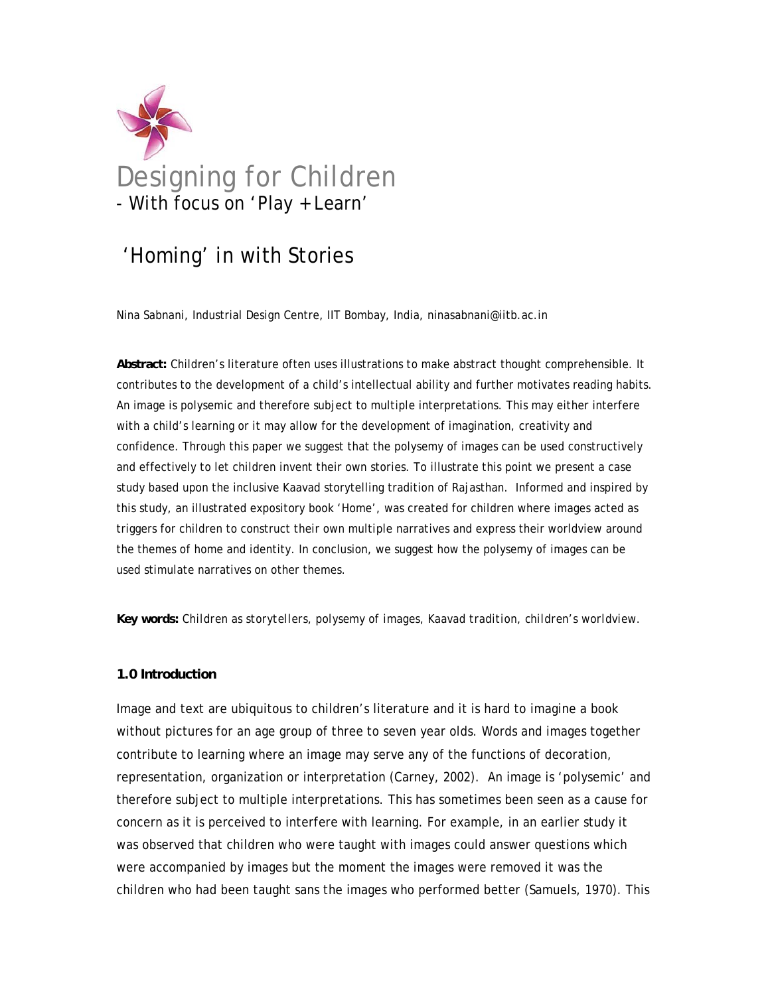

# 'Homing' in with Stories

Nina Sabnani, Industrial Design Centre, IIT Bombay, India, ninasabnani@iitb.ac.in

**Abstract:** Children's literature often uses illustrations to make abstract thought comprehensible. It contributes to the development of a child's intellectual ability and further motivates reading habits. An image is polysemic and therefore subject to multiple interpretations. This may either interfere with a child's learning or it may allow for the development of imagination, creativity and confidence. Through this paper we suggest that the polysemy of images can be used constructively and effectively to let children invent their own stories. To illustrate this point we present a case study based upon the inclusive *Kaavad* storytelling tradition of Rajasthan. Informed and inspired by this study, an illustrated expository book 'Home', was created for children where images acted as triggers for children to construct their own multiple narratives and express their worldview around the themes of home and identity. In conclusion, we suggest how the polysemy of images can be used stimulate narratives on other themes.

*Key words: Children as storytellers, polysemy of images, Kaavad tradition, children's worldview.* 

## **1.0 Introduction**

Image and text are ubiquitous to children's literature and it is hard to imagine a book without pictures for an age group of three to seven year olds. Words and images together contribute to learning where an image may serve any of the functions of decoration, representation, organization or interpretation (Carney, 2002). An image is 'polysemic' and therefore subject to multiple interpretations. This has sometimes been seen as a cause for concern as it is perceived to interfere with learning. For example, in an earlier study it was observed that children who were taught with images could answer questions which were accompanied by images but the moment the images were removed it was the children who had been taught sans the images who performed better (Samuels, 1970). This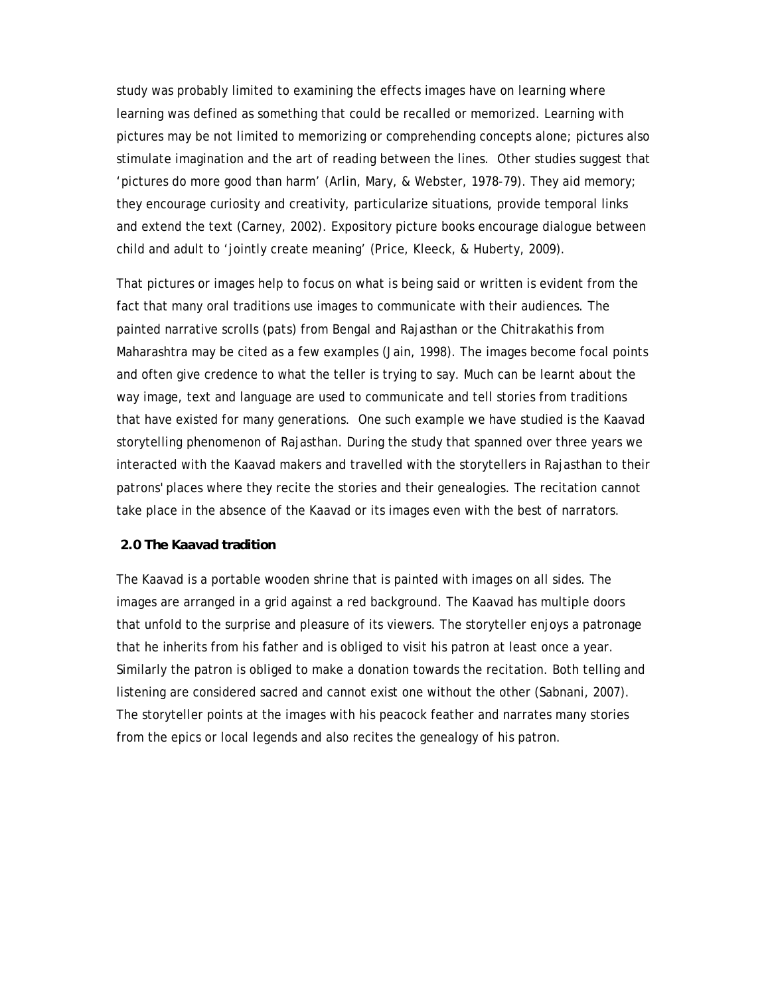study was probably limited to examining the effects images have on learning where learning was defined as something that could be recalled or memorized. Learning with pictures may be not limited to memorizing or comprehending concepts alone; pictures also stimulate imagination and the art of reading between the lines. Other studies suggest that 'pictures do more good than harm' (Arlin, Mary, & Webster, 1978-79). They aid memory; they encourage curiosity and creativity, particularize situations, provide temporal links and extend the text (Carney, 2002). Expository picture books encourage dialogue between child and adult to 'jointly create meaning' (Price, Kleeck, & Huberty, 2009).

That pictures or images help to focus on what is being said or written is evident from the fact that many oral traditions use images to communicate with their audiences. The painted narrative scrolls (*pats*) from Bengal and Rajasthan or the *Chitrakathis* from Maharashtra may be cited as a few examples (Jain, 1998). The images become focal points and often give credence to what the teller is trying to say. Much can be learnt about the way image, text and language are used to communicate and tell stories from traditions that have existed for many generations. One such example we have studied is the *Kaavad* storytelling phenomenon of Rajasthan. During the study that spanned over three years we interacted with the *Kaavad* makers and travelled with the storytellers in Rajasthan to their patrons' places where they recite the stories and their genealogies. The recitation cannot take place in the absence of the *Kaavad* or its images even with the best of narrators.

## **2.0 The** *Kaavad* **tradition**

The *Kaavad* is a portable wooden shrine that is painted with images on all sides. The images are arranged in a grid against a red background. The *Kaavad* has multiple doors that unfold to the surprise and pleasure of its viewers. The storyteller enjoys a patronage that he inherits from his father and is obliged to visit his patron at least once a year. Similarly the patron is obliged to make a donation towards the recitation. Both telling and listening are considered sacred and cannot exist one without the other (Sabnani, 2007). The storyteller points at the images with his peacock feather and narrates many stories from the epics or local legends and also recites the genealogy of his patron.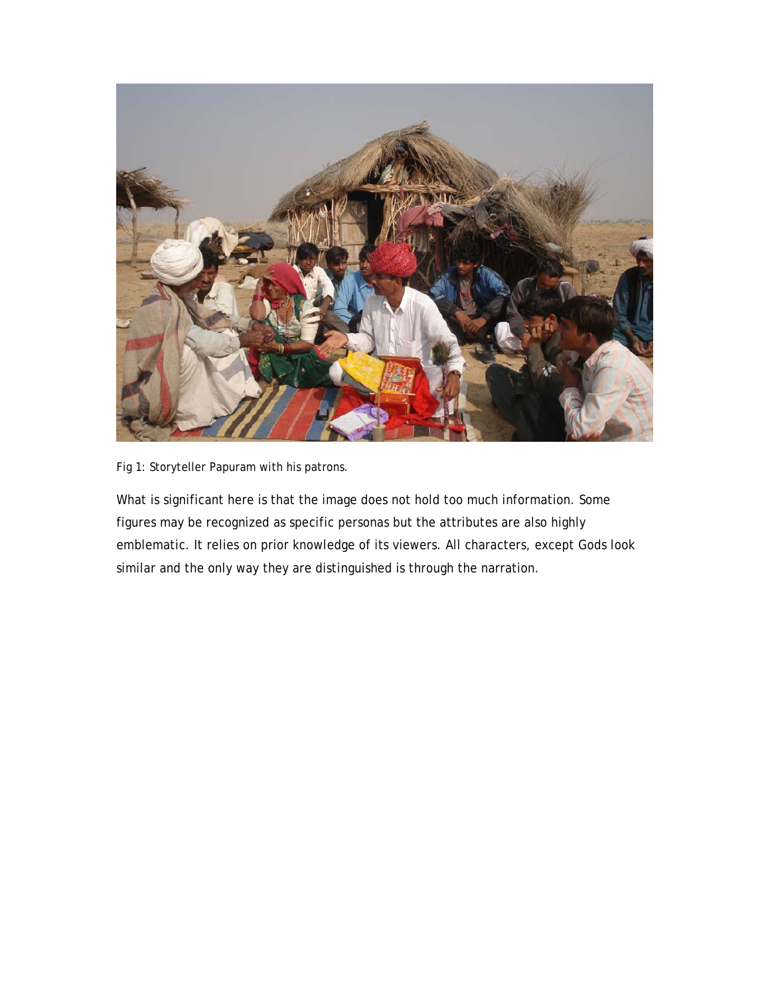

Fig 1: Storyteller Papuram with his patrons.

What is significant here is that the image does not hold too much information. Some figures may be recognized as specific personas but the attributes are also highly emblematic. It relies on prior knowledge of its viewers. All characters, except Gods look similar and the only way they are distinguished is through the narration.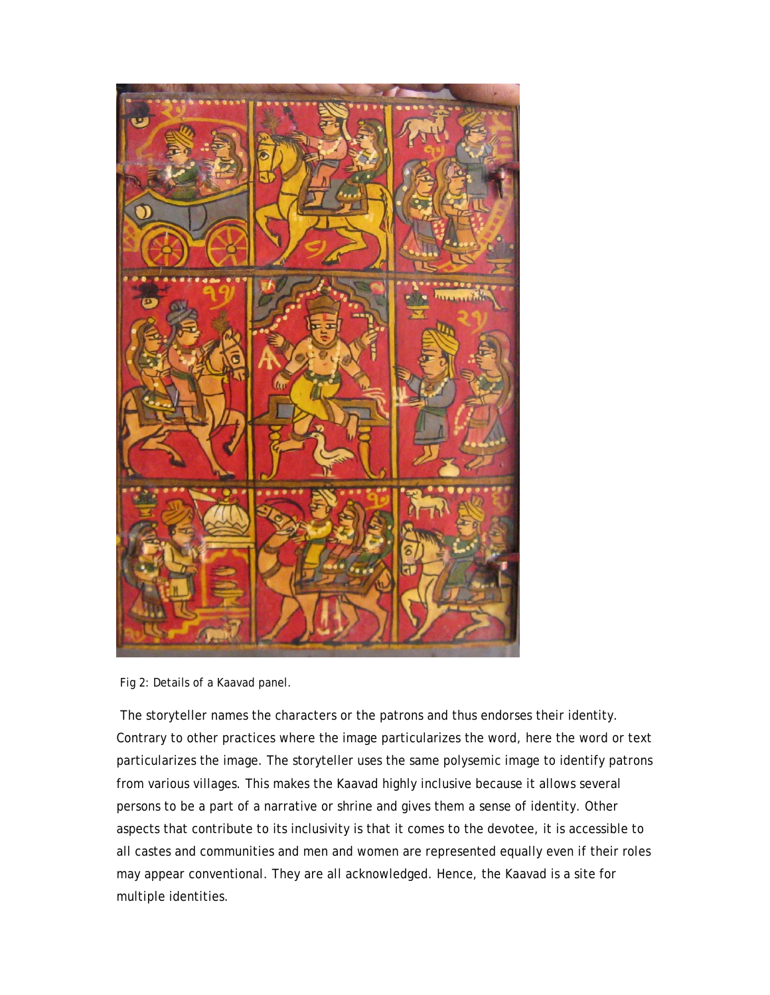

Fig 2: Details of a Kaavad panel.

 The storyteller names the characters or the patrons and thus endorses their identity. Contrary to other practices where the image particularizes the word, here the word or text particularizes the image. The storyteller uses the same polysemic image to identify patrons from various villages. This makes the *Kaavad* highly inclusive because it allows several persons to be a part of a narrative or shrine and gives them a sense of identity. Other aspects that contribute to its inclusivity is that it comes to the devotee, it is accessible to all castes and communities and men and women are represented equally even if their roles may appear conventional. They are all acknowledged. Hence, the *Kaavad* is a site for multiple identities.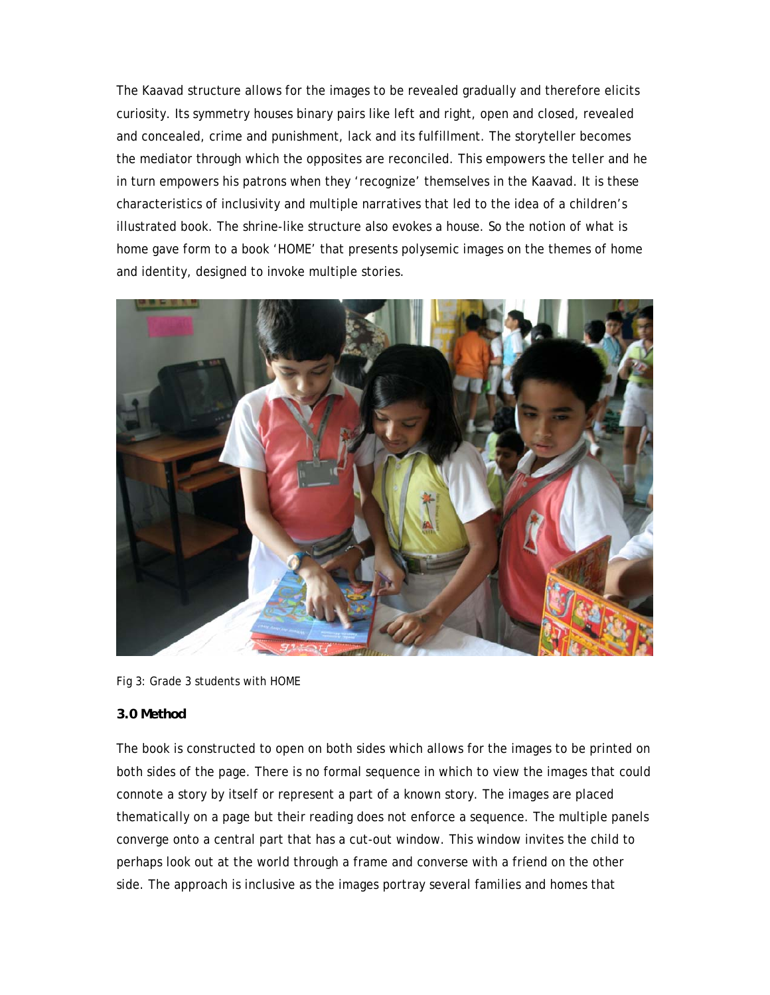The *Kaavad* structure allows for the images to be revealed gradually and therefore elicits curiosity. Its symmetry houses binary pairs like left and right, open and closed, revealed and concealed, crime and punishment, lack and its fulfillment. The storyteller becomes the mediator through which the opposites are reconciled. This empowers the teller and he in turn empowers his patrons when they 'recognize' themselves in the *Kaavad*. It is these characteristics of inclusivity and multiple narratives that led to the idea of a children's illustrated book. The shrine-like structure also evokes a house. So the notion of what is home gave form to a book 'HOME' that presents polysemic images on the themes of home and identity, designed to invoke multiple stories.



Fig 3: Grade 3 students with HOME

### **3.0 Method**

The book is constructed to open on both sides which allows for the images to be printed on both sides of the page. There is no formal sequence in which to view the images that could connote a story by itself or represent a part of a known story. The images are placed thematically on a page but their reading does not enforce a sequence. The multiple panels converge onto a central part that has a cut-out window. This window invites the child to perhaps look out at the world through a frame and converse with a friend on the other side. The approach is inclusive as the images portray several families and homes that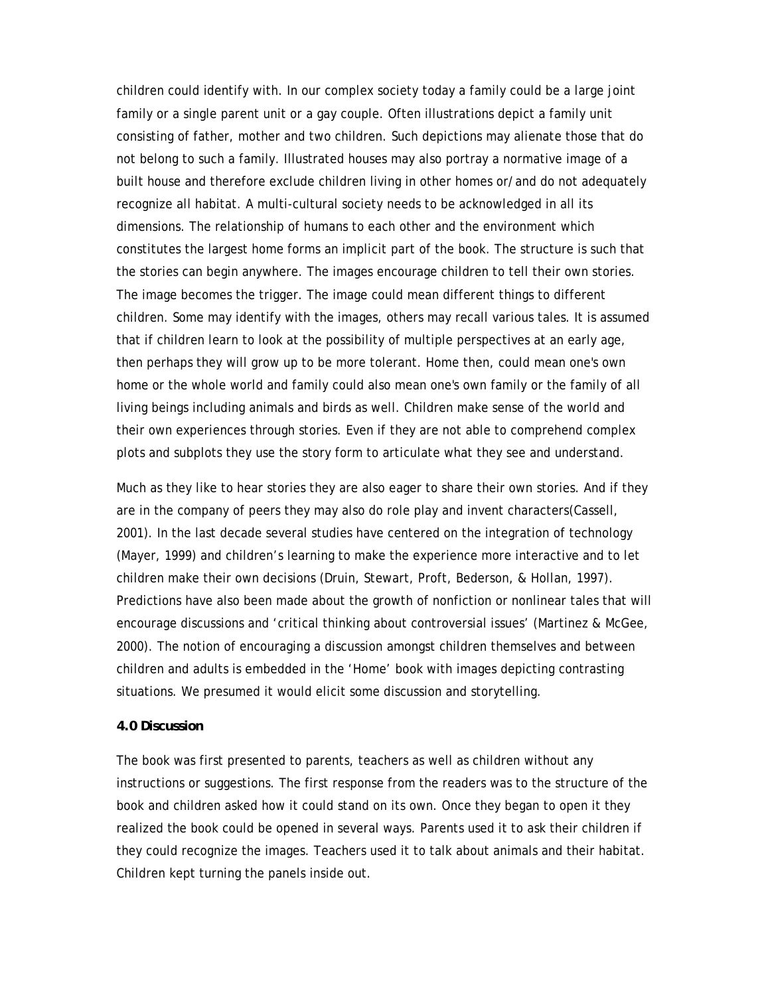children could identify with. In our complex society today a family could be a large joint family or a single parent unit or a gay couple. Often illustrations depict a family unit consisting of father, mother and two children. Such depictions may alienate those that do not belong to such a family. Illustrated houses may also portray a normative image of a built house and therefore exclude children living in other homes or/and do not adequately recognize all habitat. A multi-cultural society needs to be acknowledged in all its dimensions. The relationship of humans to each other and the environment which constitutes the largest home forms an implicit part of the book. The structure is such that the stories can begin anywhere. The images encourage children to tell their own stories. The image becomes the trigger. The image could mean different things to different children. Some may identify with the images, others may recall various tales. It is assumed that if children learn to look at the possibility of multiple perspectives at an early age, then perhaps they will grow up to be more tolerant. Home then, could mean one's own home or the whole world and family could also mean one's own family or the family of all living beings including animals and birds as well. Children make sense of the world and their own experiences through stories. Even if they are not able to comprehend complex plots and subplots they use the story form to articulate what they see and understand.

Much as they like to hear stories they are also eager to share their own stories. And if they are in the company of peers they may also do role play and invent characters(Cassell, 2001). In the last decade several studies have centered on the integration of technology (Mayer, 1999) and children's learning to make the experience more interactive and to let children make their own decisions (Druin, Stewart, Proft, Bederson, & Hollan, 1997). Predictions have also been made about the growth of nonfiction or nonlinear tales that will encourage discussions and 'critical thinking about controversial issues' (Martinez & McGee, 2000). The notion of encouraging a discussion amongst children themselves and between children and adults is embedded in the 'Home' book with images depicting contrasting situations. We presumed it would elicit some discussion and storytelling.

#### **4.0 Discussion**

The book was first presented to parents, teachers as well as children without any instructions or suggestions. The first response from the readers was to the structure of the book and children asked how it could stand on its own. Once they began to open it they realized the book could be opened in several ways. Parents used it to ask their children if they could recognize the images. Teachers used it to talk about animals and their habitat. Children kept turning the panels inside out.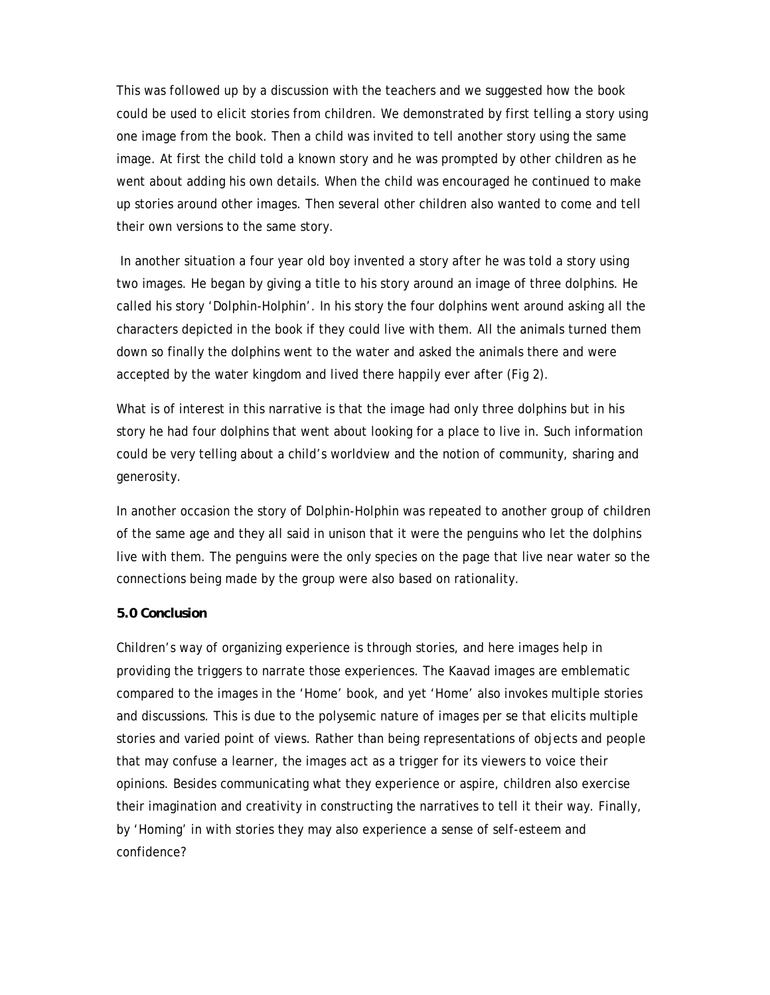This was followed up by a discussion with the teachers and we suggested how the book could be used to elicit stories from children. We demonstrated by first telling a story using one image from the book. Then a child was invited to tell another story using the same image. At first the child told a known story and he was prompted by other children as he went about adding his own details. When the child was encouraged he continued to make up stories around other images. Then several other children also wanted to come and tell their own versions to the same story.

 In another situation a four year old boy invented a story after he was told a story using two images. He began by giving a title to his story around an image of three dolphins. He called his story 'Dolphin-Holphin'. In his story the four dolphins went around asking all the characters depicted in the book if they could live with them. All the animals turned them down so finally the dolphins went to the water and asked the animals there and were accepted by the water kingdom and lived there happily ever after (Fig 2).

What is of interest in this narrative is that the image had only three dolphins but in his story he had four dolphins that went about looking for a place to live in. Such information could be very telling about a child's worldview and the notion of community, sharing and generosity.

In another occasion the story of Dolphin-Holphin was repeated to another group of children of the same age and they all said in unison that it were the penguins who let the dolphins live with them. The penguins were the only species on the page that live near water so the connections being made by the group were also based on rationality.

### **5.0 Conclusion**

Children's way of organizing experience is through stories, and here images help in providing the triggers to narrate those experiences. The *Kaavad* images are emblematic compared to the images in the 'Home' book, and yet 'Home' also invokes multiple stories and discussions. This is due to the polysemic nature of images per se that elicits multiple stories and varied point of views. Rather than being representations of objects and people that may confuse a learner, the images act as a trigger for its viewers to voice their opinions. Besides communicating what they experience or aspire, children also exercise their imagination and creativity in constructing the narratives to tell it their way. Finally, by 'Homing' in with stories they may also experience a sense of self-esteem and confidence?